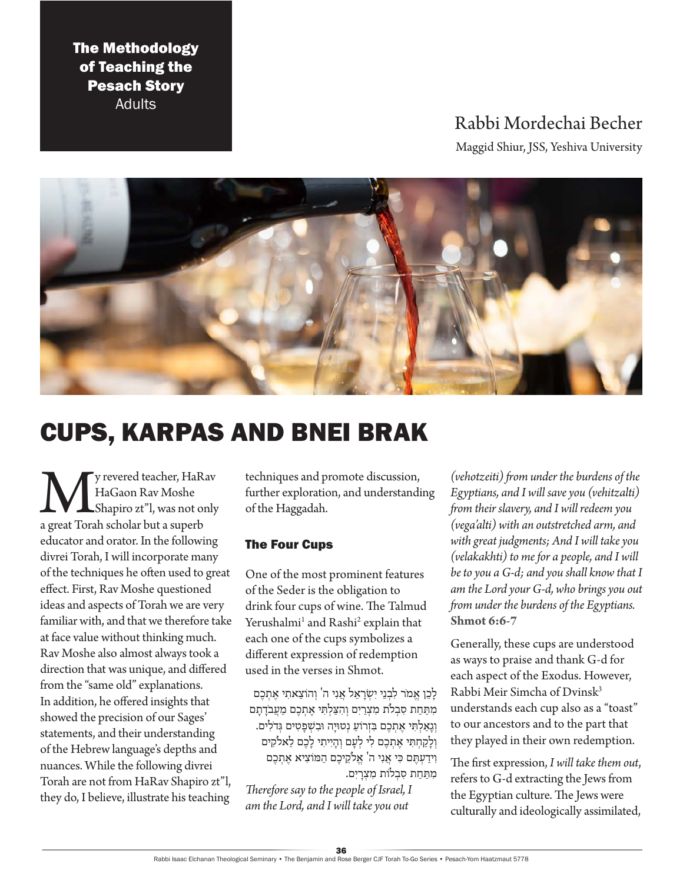# The Methodology of Teaching the Pesach Story

Adults

# Rabbi Mordechai Becher

Maggid Shiur, JSS, Yeshiva University



# CUPS, KARPAS AND BNEI BRAK

We y revered teacher, HaRav<br>HaGaon Rav Moshe<br>a great Torah scholar but a superb HaGaon Rav Moshe Shapiro zt"l, was not only educator and orator. In the following divrei Torah, I will incorporate many of the techniques he often used to great effect. First, Rav Moshe questioned ideas and aspects of Torah we are very familiar with, and that we therefore take at face value without thinking much. Rav Moshe also almost always took a direction that was unique, and differed from the "same old" explanations. In addition, he offered insights that showed the precision of our Sages' statements, and their understanding of the Hebrew language's depths and nuances. While the following divrei Torah are not from HaRav Shapiro zt"l, they do, I believe, illustrate his teaching

techniques and promote discussion, further exploration, and understanding of the Haggadah.

## The Four Cups

One of the most prominent features of the Seder is the obligation to drink four cups of wine. The Talmud Yerushalmi<sup>1</sup> and Rashi<sup>2</sup> explain that each one of the cups symbolizes a different expression of redemption used in the verses in Shmot.

לַכֵן אֱמֹר לִבְנֵי יִשְׂרָאֵל אֲנִי ה' וְהוֹצֵאתִי אֶתְכֶם מִתַּחַת סִבְלֹת מִצְרַיִם וְהִצַּלְתִּי אֶתְכֶם מֵעֲבֹדָתָם וְגַאַלְתִּי אֶתְכֶם בִּזְרוֹעַ נְטוּיַה וּבִשְׁפַטִים גְּדֹלִים. וְלַקֲחִתִּי אֶתְכֶם לִי לְעָם וְהָיִיתִי לַכֶם לֵאלֹקִים וִ ידַ עְ תֶ ם כִ י אֲ נִ י ה' אֱ ֹלקֵ יכֶ ם הַ ּמֹוצִ יא אֶ תְ כֶ ם מתּחת סבלות מצרים.

*Therefore say to the people of Israel, I am the Lord, and I will take you out* 

*(vehotzeiti) from under the burdens of the Egyptians, and I will save you (vehitzalti) from their slavery, and I will redeem you (vega'alti) with an outstretched arm, and with great judgments; And I will take you (velakakhti) to me for a people, and I will be to you a G-d; and you shall know that I am the Lord your G-d, who brings you out from under the burdens of the Egyptians.* **Shmot 6:6-7**

Generally, these cups are understood as ways to praise and thank G-d for each aspect of the Exodus. However, Rabbi Meir Simcha of Dvinsk3 understands each cup also as a "toast" to our ancestors and to the part that they played in their own redemption.

The first expression, *I will take them out*, refers to G-d extracting the Jews from the Egyptian culture. The Jews were culturally and ideologically assimilated,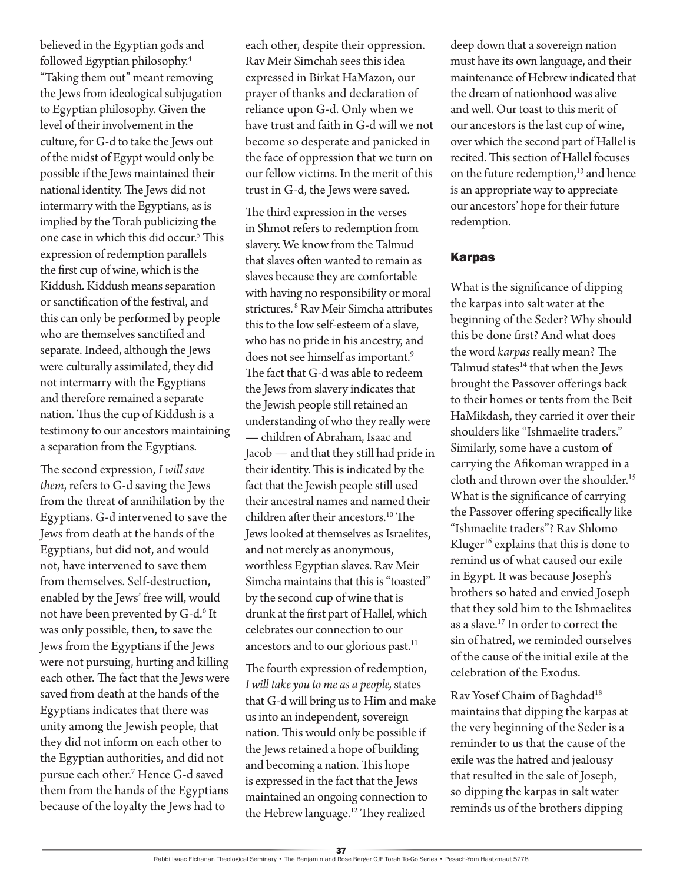believed in the Egyptian gods and followed Egyptian philosophy.4 "Taking them out" meant removing the Jews from ideological subjugation to Egyptian philosophy. Given the level of their involvement in the culture, for G-d to take the Jews out of the midst of Egypt would only be possible if the Jews maintained their national identity. The Jews did not intermarry with the Egyptians, as is implied by the Torah publicizing the one case in which this did occur.<sup>5</sup> This expression of redemption parallels the first cup of wine, which is the Kiddush*.* Kiddush means separation or sanctification of the festival, and this can only be performed by people who are themselves sanctified and separate. Indeed, although the Jews were culturally assimilated, they did not intermarry with the Egyptians and therefore remained a separate nation. Thus the cup of Kiddush is a testimony to our ancestors maintaining a separation from the Egyptians.

The second expression, *I will save them*, refers to G-d saving the Jews from the threat of annihilation by the Egyptians. G-d intervened to save the Jews from death at the hands of the Egyptians, but did not, and would not, have intervened to save them from themselves. Self-destruction, enabled by the Jews' free will, would not have been prevented by G-d.<sup>6</sup> It was only possible, then, to save the Jews from the Egyptians if the Jews were not pursuing, hurting and killing each other. The fact that the Jews were saved from death at the hands of the Egyptians indicates that there was unity among the Jewish people, that they did not inform on each other to the Egyptian authorities, and did not pursue each other.7 Hence G-d saved them from the hands of the Egyptians because of the loyalty the Jews had to

each other, despite their oppression. Rav Meir Simchah sees this idea expressed in Birkat HaMazon, our prayer of thanks and declaration of reliance upon G-d. Only when we have trust and faith in G-d will we not become so desperate and panicked in the face of oppression that we turn on our fellow victims. In the merit of this trust in G-d, the Jews were saved.

The third expression in the verses in Shmot refers to redemption from slavery. We know from the Talmud that slaves often wanted to remain as slaves because they are comfortable with having no responsibility or moral strictures. 8 Rav Meir Simcha attributes this to the low self-esteem of a slave, who has no pride in his ancestry, and does not see himself as important.<sup>9</sup> The fact that G-d was able to redeem the Jews from slavery indicates that the Jewish people still retained an understanding of who they really were — children of Abraham, Isaac and Jacob — and that they still had pride in their identity. This is indicated by the fact that the Jewish people still used their ancestral names and named their children after their ancestors.<sup>10</sup> The Jews looked at themselves as Israelites, and not merely as anonymous, worthless Egyptian slaves. Rav Meir Simcha maintains that this is "toasted" by the second cup of wine that is drunk at the first part of Hallel, which celebrates our connection to our ancestors and to our glorious past.<sup>11</sup>

The fourth expression of redemption, *I will take you to me as a people,* states that G-d will bring us to Him and make us into an independent, sovereign nation. This would only be possible if the Jews retained a hope of building and becoming a nation. This hope is expressed in the fact that the Jews maintained an ongoing connection to the Hebrew language.<sup>12</sup> They realized

deep down that a sovereign nation must have its own language, and their maintenance of Hebrew indicated that the dream of nationhood was alive and well. Our toast to this merit of our ancestors is the last cup of wine, over which the second part of Hallel is recited. This section of Hallel focuses on the future redemption,<sup>13</sup> and hence is an appropriate way to appreciate our ancestors' hope for their future redemption.

### Karpas

What is the significance of dipping the karpas into salt water at the beginning of the Seder? Why should this be done first? And what does the word *karpas* really mean? The Talmud states $14$  that when the Jews brought the Passover offerings back to their homes or tents from the Beit HaMikdash, they carried it over their shoulders like "Ishmaelite traders." Similarly, some have a custom of carrying the Afikoman wrapped in a cloth and thrown over the shoulder.<sup>15</sup> What is the significance of carrying the Passover offering specifically like "Ishmaelite traders"? Rav Shlomo Kluger<sup>16</sup> explains that this is done to remind us of what caused our exile in Egypt. It was because Joseph's brothers so hated and envied Joseph that they sold him to the Ishmaelites as a slave.17 In order to correct the sin of hatred, we reminded ourselves of the cause of the initial exile at the celebration of the Exodus.

Rav Yosef Chaim of Baghdad<sup>18</sup> maintains that dipping the karpas at the very beginning of the Seder is a reminder to us that the cause of the exile was the hatred and jealousy that resulted in the sale of Joseph, so dipping the karpas in salt water reminds us of the brothers dipping